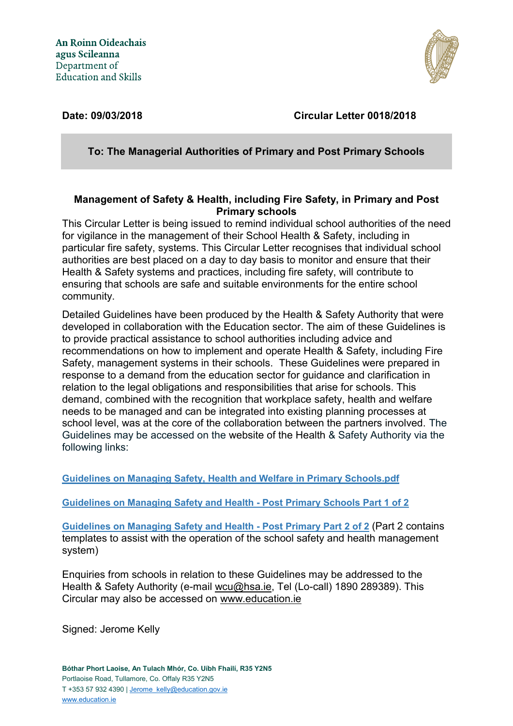

# **Date: 09/03/2018 Circular Letter 0018/2018**

**To: The Managerial Authorities of Primary and Post Primary Schools**

## **Management of Safety & Health, including Fire Safety, in Primary and Post Primary schools**

This Circular Letter is being issued to remind individual school authorities of the need for vigilance in the management of their School Health & Safety, including in particular fire safety, systems. This Circular Letter recognises that individual school authorities are best placed on a day to day basis to monitor and ensure that their Health & Safety systems and practices, including fire safety, will contribute to ensuring that schools are safe and suitable environments for the entire school community.

Detailed Guidelines have been produced by the Health & Safety Authority that were developed in collaboration with the Education sector. The aim of these Guidelines is to provide practical assistance to school authorities including advice and recommendations on how to implement and operate Health & Safety, including Fire Safety, management systems in their schools. These Guidelines were prepared in response to a demand from the education sector for guidance and clarification in relation to the legal obligations and responsibilities that arise for schools. This demand, combined with the recognition that workplace safety, health and welfare needs to be managed and can be integrated into existing planning processes at school level, was at the core of the collaboration between the partners involved. The Guidelines may be accessed on the website of the Health & Safety Authority via the following links:

**[Guidelines on Managing Safety, Health and Welfare in Primary Schools.pdf](http://www.hsa.ie/eng/Education/Managing_Safety_and_Health_in_Schools/Primary_Schools_Guidelines/Guidelines_on_Managing_Safety_Health_and_Welfare_in_Primary_Schools.pdf)**

**[Guidelines on Managing Safety and Health -](http://www.hsa.ie/eng/Publications_and_Forms/Publications/Education/Guidelines_on_Managing_Safety_and_Health_-_Post_Primary_Schools_Part_1_of_2.html) Post Primary Schools Part 1 of 2**

**[Guidelines on Managing Safety and Health -](http://www.hsa.ie/eng/Publications_and_Forms/Publications/Education/Guidelines_on_Managing_Safety_and_Health_-_Post_Primary_Part_2_of_2.html) Post Primary Part 2 of 2** (Part 2 contains templates to assist with the operation of the school safety and health management system)

Enquiries from schools in relation to these Guidelines may be addressed to the Health & Safety Authority (e-mail [wcu@hsa.ie,](mailto:wcu@hsa.ie) Tel (Lo-call) 1890 289389). This Circular may also be accessed on [www.education.ie](http://www.education.ie/)

Signed: Jerome Kelly